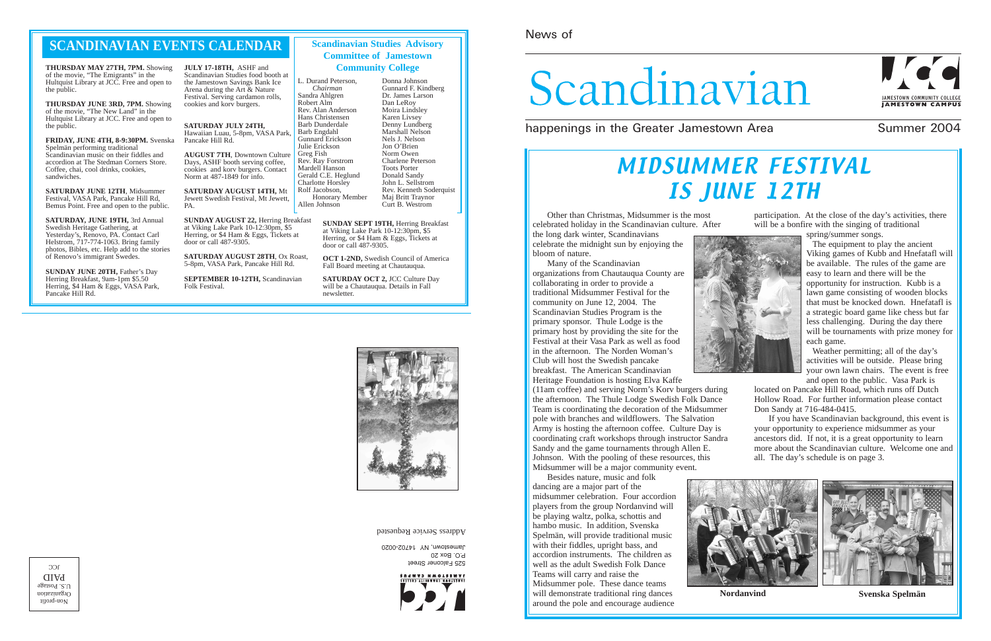# Scandinavian

happenings in the Greater Jamestown Area Summer 2004



525 Falconer Street P.O. Box 20 Jamestown, NY 14702-0020



#### **SCANDINAVIAN EVENTS CALENDAR**

**THURSDAY MAY 27TH, 7PM.** Showing of the movie, "The Emigrants" in the Hultquist Library at JCC. Free and open to the public.

**THURSDAY JUNE 3RD, 7PM.** Showing of the movie, "The New Land" in the Hultquist Library at JCC. Free and open to the public.

**FRIDAY, JUNE 4TH, 8-9:30PM.** Svenska Spelmän performing traditional Scandinavian music on their fiddles and accordion at The Stedman Corners Store. Coffee, chai, cool drinks, cookies, sandwiches.

**SATURDAY JUNE 12TH**, Midsummer Festival, VASA Park, Pancake Hill Rd, Bemus Point. Free and open to the public.

**SATURDAY, JUNE 19TH,** 3rd Annual Swedish Heritage Gathering, at Yesterday's, Renovo, PA. Contact Carl Helstrom, 717-774-1063. Bring family photos, Bibles, etc. Help add to the stories of Renovo's immigrant Swedes.

**SUNDAY JUNE 20TH,** Father's Day Herring Breakfast, 9am-1pm \$5.50 Herring, \$4 Ham & Eggs, VASA Park, Pancake Hill Rd.

**JULY 17-18TH,** ASHF and Scandinavian Studies food booth at the Jamestown Savings Bank Ice Arena during the Art & Nature Festival. Serving cardamon rolls, cookies and korv burgers.

**SATURDAY JULY 24TH,** Hawaiian Luau, 5-8pm, VASA Park, Pancake Hill Rd.

**AUGUST 7TH**, Downtown Culture Days, ASHF booth serving coffee, cookies and korv burgers. Contact Norm at 487-1849 for info.

**SATURDAY AUGUST 14TH,** Mt Jewett Swedish Festival, Mt Jewett, PA.

**SUNDAY AUGUST 22,** Herring Breakfast at Viking Lake Park 10-12:30pm, \$5 Herring, or \$4 Ham & Eggs, Tickets at door or call 487-9305.

**SATURDAY AUGUST 28TH**, Ox Roast, 5-8pm, VASA Park, Pancake Hill Rd.

**SEPTEMBER 10-12TH,** Scandinavian Folk Festival.

**SUNDAY SEPT 19TH,** Herring Breakfast at Viking Lake Park 10-12:30pm, \$5 Herring, or \$4 Ham & Eggs, Tickets at door or call 487-9305.

**OCT 1-2ND,** Swedish Council of America Fall Board meeting at Chautauqua.

**SATURDAY OCT 2,** JCC Culture Day will be a Chautauqua. Details in Fall newsletter.



participation. At the close of the day's activities, there will be a bonfire with the singing of traditional

Sandra Ahlgren Robert Alm

Hans Christensen Barb Dunderdale Barb Engdahl

**Scandinavian Studies Advisory Committee of Jamestown Community College** L. Durand Peterson, *Chairman* Donna Johnson

Julie Erickson Greg Fish

Mardell Hanson

Charlotte Horsley Rolf Jacobson,

Allen Johnson

Rev. Alan Anderson Gunnard Erickson Rev. Ray Forstrom Gerald C.E. Heglund Honorary Member Gunnard F. Kindberg Dr. James Larson Dan LeRoy Moira Lindsley Karen Livsey Denny Lundberg Marshall Nelson Nels J. Nelson Jon O'Brien Norm Owen Charlene Peterson Toots Porter Donald Sandy John L. Sellstrom Rev. Kenneth Soderquist Maj Britt Traynor Curt B. Westrom

#### Address Service Requested

Other than Christmas, Midsummer is the most celebrated holiday in the Scandinavian culture. After

the long dark winter, Scandinavians celebrate the midnight sun by enjoying the bloom of nature.

Many of the Scandinavian organizations from Chautauqua County are collaborating in order to provide a traditional Midsummer Festival for the community on June 12, 2004. The Scandinavian Studies Program is the primary sponsor. Thule Lodge is the primary host by providing the site for the Festival at their Vasa Park as well as food in the afternoon. The Norden Woman's Club will host the Swedish pancake breakfast. The American Scandinavian Heritage Foundation is hosting Elva Kaffe



(11am coffee) and serving Norm's Korv burgers during the afternoon. The Thule Lodge Swedish Folk Dance Team is coordinating the decoration of the Midsummer pole with branches and wildflowers. The Salvation Army is hosting the afternoon coffee. Culture Day is coordinating craft workshops through instructor Sandra Sandy and the game tournaments through Allen E. Johnson. With the pooling of these resources, this Midsummer will be a major community event.

Besides nature, music and folk dancing are a major part of the midsummer celebration. Four accordion players from the group Nordanvind will be playing waltz, polka, schottis and hambo music. In addition, Svenska Spelmän, will provide traditional music with their fiddles, upright bass, and accordion instruments. The children as well as the adult Swedish Folk Dance Teams will carry and raise the Midsummer pole. These dance teams will demonstrate traditional ring dances around the pole and encourage audience



 $\upmu$ ond-uo<br/>N Organization  $0.5.$  Postage PAID  $C<sub>C</sub>$ 

spring/summer songs.

The equipment to play the ancient Viking games of Kubb and Hnefatafl will be available. The rules of the game are easy to learn and there will be the opportunity for instruction. Kubb is a lawn game consisting of wooden blocks that must be knocked down. Hnefatafl is a strategic board game like chess but far less challenging. During the day there will be tournaments with prize money for each game.

Weather permitting; all of the day's activities will be outside. Please bring your own lawn chairs. The event is free and open to the public. Vasa Park is

located on Pancake Hill Road, which runs off Dutch Hollow Road. For further information please contact Don Sandy at 716-484-0415.

If you have Scandinavian background, this event is your opportunity to experience midsummer as your ancestors did. If not, it is a great opportunity to learn more about the Scandinavian culture. Welcome one and all. The day's schedule is on page 3.

## MIDSUMMER FESTIVAL IS JUNE 12TH

**Nordanvind Svenska Spelmän**